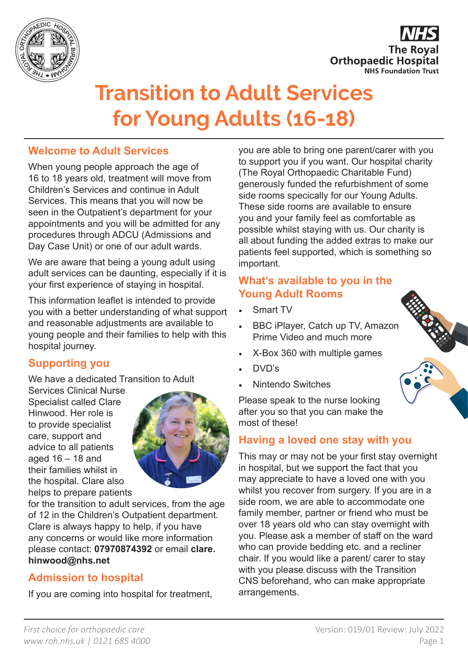



# **Transition to Adult Services for Young Adults (16-18)**

## **Welcome to Adult Services**

When young people approach the age of 16 to 18 years old, treatment will move from Children's Services and continue in Adult Services. This means that you will now be seen in the Outpatient's department for your appointments and you will be admitted for any procedures through ADCU (Admissions and Day Case Unit) or one of our adult wards.

We are aware that being a young adult using adult services can be daunting, especially if it is your first experience of staying in hospital.

This information leaflet is intended to provide you with a better understanding of what support and reasonable adjustments are available to young people and their families to help with this hospital journey.

## **Supporting you**

We have a dedicated Transition to Adult

Services Clinical Nurse Specialist called Clare Hinwood. Her role is to provide specialist care, support and advice to all patients aged 16 – 18 and their families whilst in the hospital. Clare also helps to prepare patients



for the transition to adult services, from the age of 12 in the Children's Outpatient department. Clare is always happy to help, if you have any concerns or would like more information please contact: **07970874392** or email **clare. hinwood@nhs.net**

# **Admission to hospital**

If you are coming into hospital for treatment,

you are able to bring one parent/carer with you to support you if you want. Our hospital charity (The Royal Orthopaedic Charitable Fund) generously funded the refurbishment of some side rooms specically for our Young Adults. These side rooms are available to ensure you and your family feel as comfortable as possible whilst staying with us. Our charity is all about funding the added extras to make our patients feel supported, which is something so important.

# **What's available to you in the Young Adult Rooms**

- Smart TV
- BBC iPlayer, Catch up TV, Amazon Prime Video and much more
- X-Box 360 with multiple games
- DVD's
- Nintendo Switches

Please speak to the nurse looking after you so that you can make the most of these!

## **Having a loved one stay with you**

This may or may not be your first stay overnight in hospital, but we support the fact that you may appreciate to have a loved one with you whilst you recover from surgery. If you are in a side room, we are able to accommodate one family member, partner or friend who must be over 18 years old who can stay overnight with you. Please ask a member of staff on the ward who can provide bedding etc. and a recliner chair. If you would like a parent/ carer to stay with you please discuss with the Transition CNS beforehand, who can make appropriate arrangements.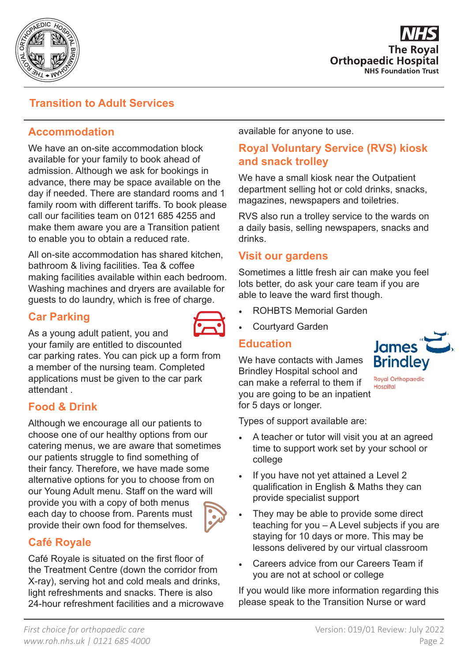

**The Roval Orthopaedic Hospital NHS Foundation Trust** 

## **Transition to Adult Services**

## **Accommodation**

We have an on-site accommodation block available for your family to book ahead of admission. Although we ask for bookings in advance, there may be space available on the day if needed. There are standard rooms and 1 family room with different tariffs. To book please call our facilities team on 0121 685 4255 and make them aware you are a Transition patient to enable you to obtain a reduced rate.

All on-site accommodation has shared kitchen, bathroom & living facilities. Tea & coffee making facilities available within each bedroom. Washing machines and dryers are available for guests to do laundry, which is free of charge.

## **Car Parking**



As a young adult patient, you and

your family are entitled to discounted car parking rates. You can pick up a form from a member of the nursing team. Completed applications must be given to the car park

## **Food & Drink**

attendant .

Although we encourage all our patients to choose one of our healthy options from our catering menus, we are aware that sometimes our patients struggle to find something of their fancy. Therefore, we have made some alternative options for you to choose from on our Young Adult menu. Staff on the ward will provide you with a copy of both menus each day to choose from. Parents must provide their own food for themselves.



## **Café Royale**

Café Royale is situated on the first floor of the Treatment Centre (down the corridor from X-ray), serving hot and cold meals and drinks, light refreshments and snacks. There is also 24-hour refreshment facilities and a microwave available for anyone to use.

## **Royal Voluntary Service (RVS) kiosk and snack trolley**

We have a small kiosk near the Outpatient department selling hot or cold drinks, snacks, magazines, newspapers and toiletries.

RVS also run a trolley service to the wards on a daily basis, selling newspapers, snacks and drinks.

#### **Visit our gardens**

Sometimes a little fresh air can make you feel lots better, do ask your care team if you are able to leave the ward first though.

- ROHBTS Memorial Garden
- Courtyard Garden

#### **Education**

We have contacts with James Brindley Hospital school and can make a referral to them if you are going to be an inpatient for 5 days or longer.



**Royal Orthopaedic** Hospital

Types of support available are:

- A teacher or tutor will visit you at an agreed time to support work set by your school or college
- If you have not yet attained a Level 2 qualification in English & Maths they can provide specialist support
- They may be able to provide some direct teaching for you – A Level subjects if you are staying for 10 days or more. This may be lessons delivered by our virtual classroom
- Careers advice from our Careers Team if you are not at school or college

If you would like more information regarding this please speak to the Transition Nurse or ward